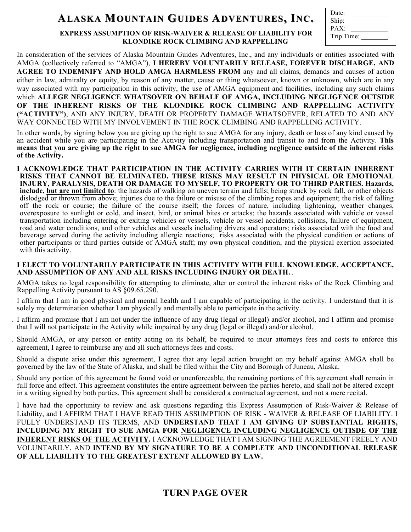# **ALASKA MOUNTAIN OUNTAIN GUIDES ADVENTURES DVENTURES, I NC.**

| Date:      |  |
|------------|--|
| Ship:      |  |
| PAX:       |  |
| Trip Time: |  |
|            |  |

#### **EXPRESS ASSUMPTION OF RISK-WAIVER & RELEASE OF LIABILITY FOR KLONDIKE ROCK CLIMBING AND RAPPELLING**

In consideration of the services of Alaska Mountain Guides Adventures, Inc., and any individuals or entities associated with AMGA (collectively referred to "AMGA"), **I HEREBY VOLUNTARILY RELEASE, FOREVER DISCHARGE, AND AGREE TO INDEMNIFY AND HOLD AMGA HARMLESS FROM** any and all claims, demands and causes of action either in law, admiralty or equity, by reason of any matter, cause or thing whatsoever, known or unknown, which are in any way associated with my participation in this activity, the use of AMGA equipment and facilities, including any such claims which **ALLEGE NEGLIGENCE WHATSOVER ON BEHALF OF AMGA, INCLUDING NEGLIGENCE OUTSIDE OF THE INHERENT RISKS OF THE KLONDIKE ROCK CLIMBING AND RAPPELLING ACTIVITY ("ACTIVITY")**, AND ANY INJURY, DEATH OR PROPERTY DAMAGE WHATSOEVER, RELATED TO AND ANY WAY CONNECTED WITH MY INVOLVEMENT IN THE ROCK CLIMBING AND RAPPELLING ACTIVITY.

In other words, by signing below you are giving up the right to sue AMGA for any injury, death or loss of any kind caused by an accident while you are participating in the Activity including transportation and transit to and from the Activity. **This means that you are giving up the right to sue AMGA for negligence, including negligence outside of the inherent risks of the Activity.**

1. **I ACKNOWLEDGE THAT PARTICIPATION IN THE ACTIVITY CARRIES WITH IT CERTAIN INHERENT RISKS THAT CANNOT BE ELIMINATED. THESE RISKS MAY RESULT IN PHYSICAL OR EMOTIONAL INJURY, PARALYSIS, DEATH OR DAMAGE TO MYSELF, TO PROPERTY OR TO THIRD PARTIES. Hazards, include, but are not limited to**: the hazards of walking on uneven terrain and falls; being struck by rock fall, or other objects dislodged or thrown from above; injuries due to the failure or misuse of the climbing ropes and equipment; the risk of falling off the rock or course; the failure of the course itself; the forces of nature, including lightening, weather changes, overexposure to sunlight or cold, and insect, bird, or animal bites or attacks; the hazards associated with vehicle or vessel transportation including entering or exiting vehicles or vessels, vehicle or vessel accidents, collisions, failure of equipment, road and water conditions, and other vehicles and vessels including drivers and operators; risks associated with the food and beverage served during the activity including allergic reactions; risks associated with the physical condition or actions of other participants or third parties outside of AMGA staff; my own physical condition, and the physical exertion associated with this activity.

#### **I ELECT TO VOLUNTARILY PARTICIPATE IN THIS ACTIVITY WITH FULL KNOWLEDGE, ACCEPTANCE, AND ASSUMPTION OF ANY AND ALL RISKS INCLUDING INJURY OR DEATH.** .

AMGA takes no legal responsibility for attempting to eliminate, alter or control the inherent risks of the Rock Climbing and Rappelling Activity pursuant to AS §09.65.290.

- 2. I affirm that I am in good physical and mental health and I am capable of participating in the activity. I understand that it is solely my determination whether I am physically and mentally able to participate in the activity.
- I affirm and promise that I am not under the influence of any drug (legal or illegal) and/or alcohol, and I affirm and promise that I will not participate in the Activity while impaired by any drug (legal or illegal) and/or alcohol.
- 4. Should AMGA, or any person or entity acting on its behalf, be required to incur attorneys fees and costs to enforce this agreement, I agree to reimburse any and all such attorneys fees and costs.
- 5. Should a dispute arise under this agreement, I agree that any legal action brought on my behalf against AMGA shall be governed by the law of the State of Alaska, and shall be filed within the City and Borough of Juneau, Alaska.
- 6. Should any portion of this agreement be found void or unenforceable, the remaining portions of this agreement shall remain in full force and effect. This agreement constitutes the entire agreement between the parties hereto, and shall not be altered except in a writing signed by both parties. This agreement shall be considered a contractual agreement, and not a mere recital.

I have had the opportunity to review and ask questions regarding this Express Assumption of Risk-Waiver & Release of Liability, and I AFFIRM THAT I HAVE READ THIS ASSUMPTION OF RISK - WAIVER & RELEASE OF LIABILITY. I FULLY UNDERSTAND ITS TERMS, AND **UNDERSTAND THAT I AM GIVING UP SUBSTANTIAL RIGHTS, INCLUDING MY RIGHT TO SUE AMGA FOR NEGLIGENCE INCLUDING NEGLIGENCE OUTISDE OF THE INHERENT RISKS OF THE ACTIVITY.** I ACKNOWLEDGE THAT I AM SIGNING THE AGREEMENT FREELY AND VOLUNTARILY, AND **INTEND BY MY SIGNATURE TO BE A COMPLETE AND UNCONDITIONAL RELEASE OF ALL LIABILITY TO THE GREATEST EXTENT ALLOWED BY LAW.**

## **TURN PAGE OVER**